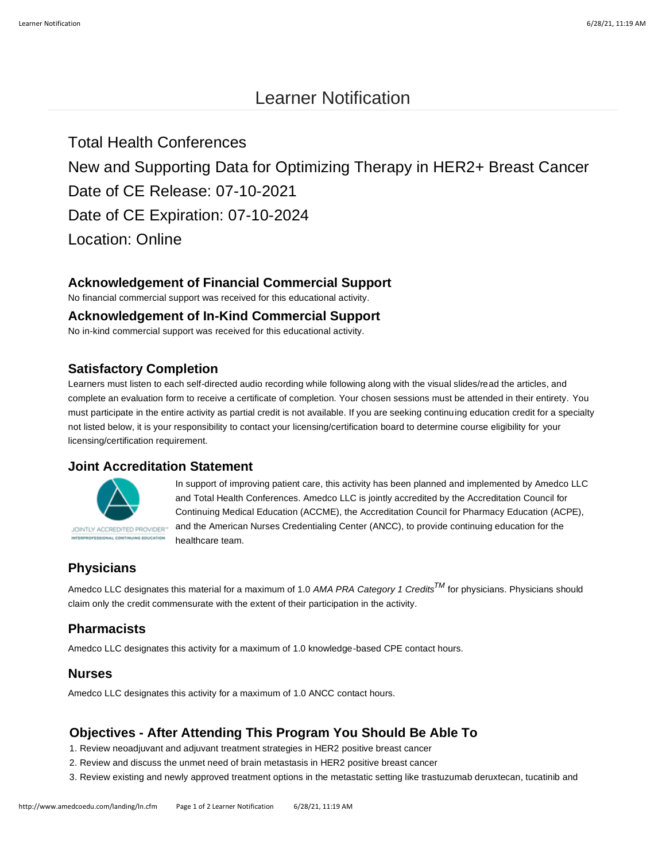# Learner Notification

Total Health Conferences New and Supporting Data for Optimizing Therapy in HER2+ Breast Cancer Date of CE Release: 07-10-2021 Date of CE Expiration: 07-10-2024 Location: Online

### **Acknowledgement of Financial Commercial Support**

No financial commercial support was received for this educational activity.

#### **Acknowledgement of In-Kind Commercial Support**

No in-kind commercial support was received for this educational activity.

#### **Satisfactory Completion**

Learners must listen to each self-directed audio recording while following along with the visual slides/read the articles, and complete an evaluation form to receive a certificate of completion. Your chosen sessions must be attended in their entirety. You must participate in the entire activity as partial credit is not available. If you are seeking continuing education credit for a specialty not listed below, it is your responsibility to contact your licensing/certification board to determine course eligibility for your licensing/certification requirement.

#### **Joint Accreditation Statement**



In support of improving patient care, this activity has been planned and implemented by Amedco LLC and Total Health Conferences. Amedco LLC is jointly accredited by the Accreditation Council for Continuing Medical Education (ACCME), the Accreditation Council for Pharmacy Education (ACPE), and the American Nurses Credentialing Center (ANCC), to provide continuing education for the healthcare team.

## **Physicians**

Amedco LLC designates this material for a maximum of 1.0 *AMA PRA Category 1 CreditsTM* for physicians. Physicians should claim only the credit commensurate with the extent of their participation in the activity.

#### **Pharmacists**

Amedco LLC designates this activity for a maximum of 1.0 knowledge-based CPE contact hours.

#### **Nurses**

Amedco LLC designates this activity for a maximum of 1.0 ANCC contact hours.

### **Objectives - After Attending This Program You Should Be Able To**

- 1. Review neoadjuvant and adjuvant treatment strategies in HER2 positive breast cancer
- 2. Review and discuss the unmet need of brain metastasis in HER2 positive breast cancer
- 3. Review existing and newly approved treatment options in the metastatic setting like trastuzumab deruxtecan, tucatinib and